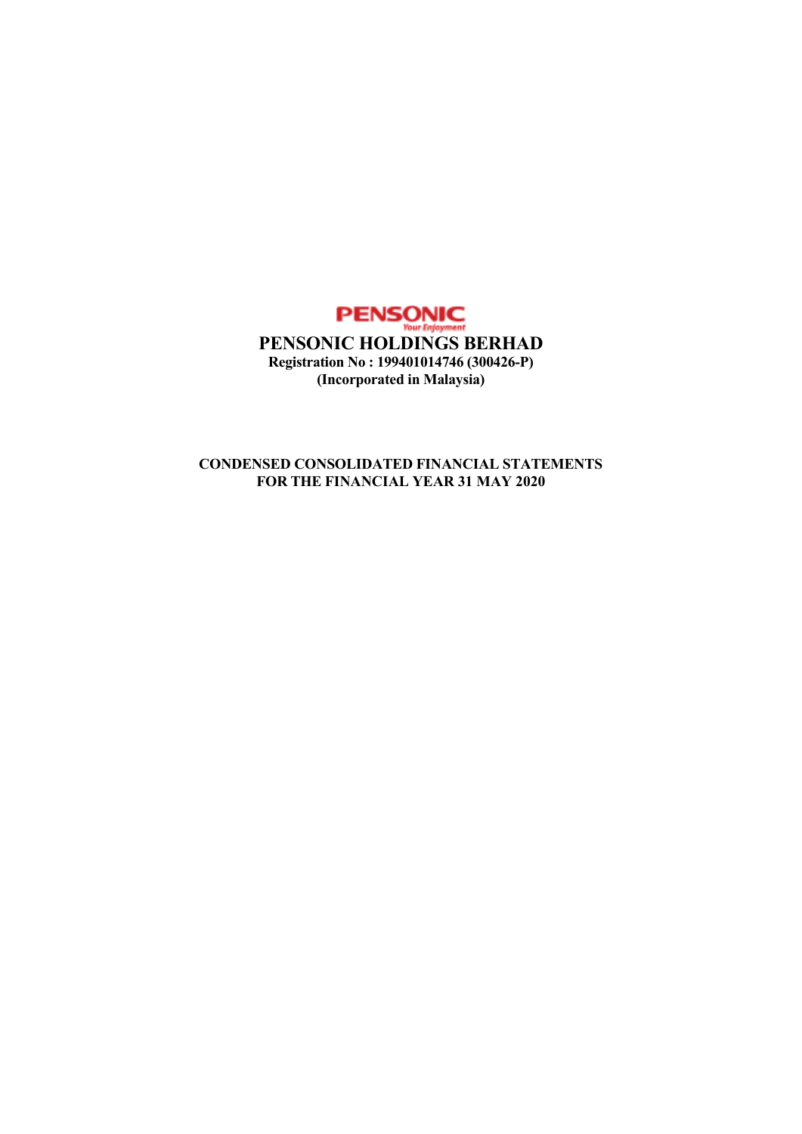

## **CONDENSED CONSOLIDATED FINANCIAL STATEMENTS FOR THE FINANCIAL YEAR 31 MAY 2020**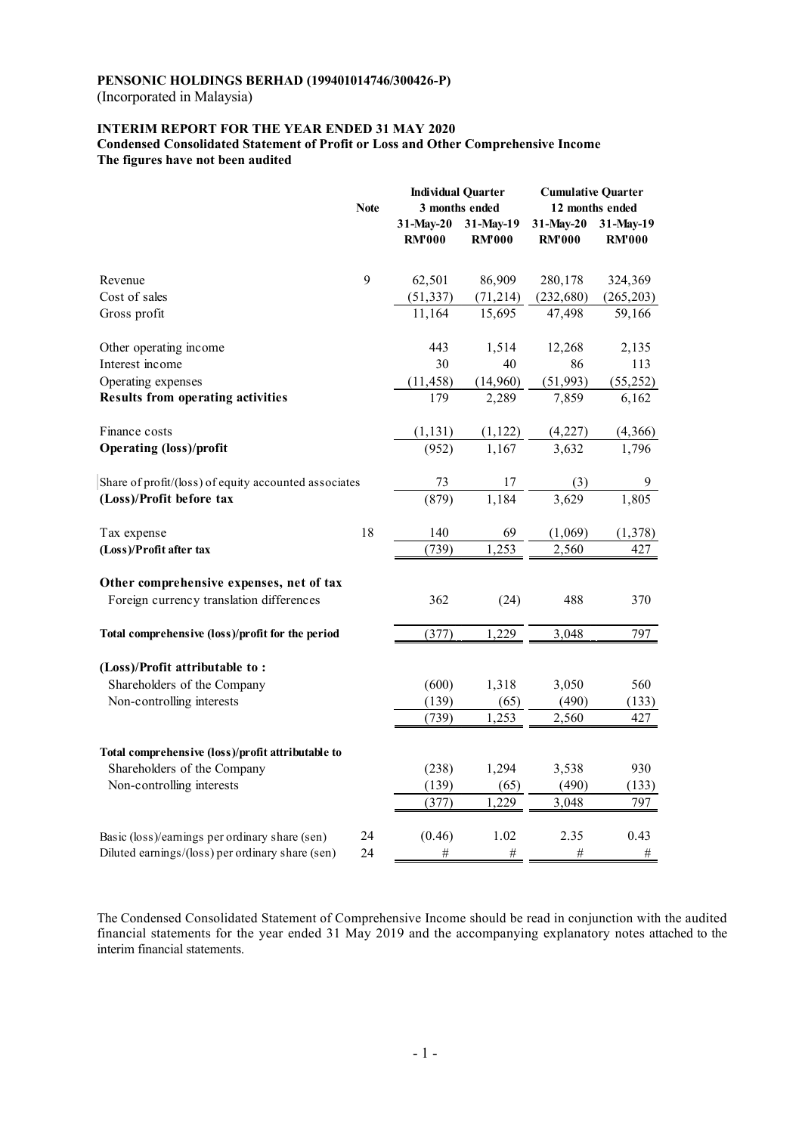(Incorporated in Malaysia)

## **INTERIM REPORT FOR THE YEAR ENDED 31 MAY 2020**

**Condensed Consolidated Statement of Profit or Loss and Other Comprehensive Income The figures have not been audited** 

|                                                       |             | <b>Individual Quarter</b> |                | <b>Cumulative Quarter</b> |               |
|-------------------------------------------------------|-------------|---------------------------|----------------|---------------------------|---------------|
|                                                       | <b>Note</b> |                           | 3 months ended | 12 months ended           |               |
|                                                       |             | 31-May-20                 | 31-May-19      | 31-May-20                 | 31-May-19     |
|                                                       |             | <b>RM'000</b>             | <b>RM'000</b>  | <b>RM'000</b>             | <b>RM'000</b> |
| Revenue                                               | 9           | 62,501                    | 86,909         | 280,178                   | 324,369       |
| Cost of sales                                         |             | (51, 337)                 | (71, 214)      | (232, 680)                | (265, 203)    |
| Gross profit                                          |             | 11,164                    | 15,695         | 47,498                    | 59,166        |
| Other operating income                                |             | 443                       | 1,514          | 12,268                    | 2,135         |
| Interest income                                       |             | 30                        | 40             | 86                        | 113           |
| Operating expenses                                    |             | (11, 458)                 | (14,960)       | (51, 993)                 | (55, 252)     |
| <b>Results from operating activities</b>              |             | 179                       | 2,289          | 7,859                     | 6,162         |
| Finance costs                                         |             | (1, 131)                  | (1, 122)       | (4,227)                   | (4,366)       |
| <b>Operating (loss)/profit</b>                        |             | (952)                     | 1,167          | 3,632                     | 1,796         |
| Share of profit/(loss) of equity accounted associates |             | 73                        | 17             | (3)                       | 9             |
| (Loss)/Profit before tax                              |             | (879)                     | 1,184          | 3,629                     | 1,805         |
| Tax expense                                           | 18          | 140                       | 69             | (1,069)                   | (1, 378)      |
| (Loss)/Profit after tax                               |             | (739)                     | 1,253          | 2,560                     | 427           |
| Other comprehensive expenses, net of tax              |             |                           |                |                           |               |
| Foreign currency translation differences              |             | 362                       | (24)           | 488                       | 370           |
| Total comprehensive (loss)/profit for the period      |             | (377)                     | 1,229          | 3,048                     | 797           |
| (Loss)/Profit attributable to:                        |             |                           |                |                           |               |
| Shareholders of the Company                           |             | (600)                     | 1,318          | 3,050                     | 560           |
| Non-controlling interests                             |             | (139)                     | (65)           | (490)                     | (133)         |
|                                                       |             | (739)                     | 1,253          | 2,560                     | 427           |
| Total comprehensive (loss)/profit attributable to     |             |                           |                |                           |               |
| Shareholders of the Company                           |             | (238)                     | 1,294          | 3,538                     | 930           |
| Non-controlling interests                             |             | (139)                     | (65)           | (490)                     | (133)         |
|                                                       |             | (377)                     | 1,229          | 3,048                     | 797           |
|                                                       |             |                           |                |                           |               |
| Basic (loss)/earnings per ordinary share (sen)        | 24          | (0.46)                    | 1.02           | 2.35                      | 0.43          |
| Diluted earnings/(loss) per ordinary share (sen)      | 24          | $\#$                      | $\#$           | $\#$                      | $\#$          |

The Condensed Consolidated Statement of Comprehensive Income should be read in conjunction with the audited financial statements for the year ended 31 May 2019 and the accompanying explanatory notes attached to the interim financial statements.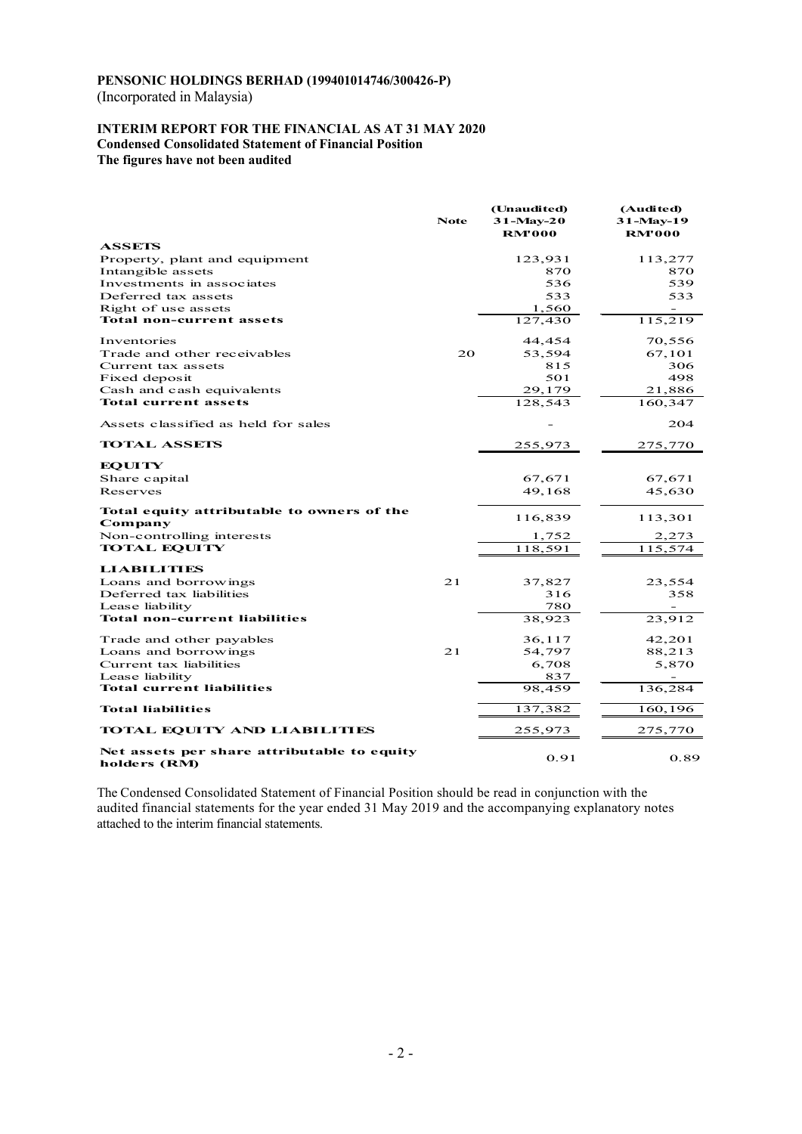(Incorporated in Malaysia)

#### **INTERIM REPORT FOR THE FINANCIAL AS AT 31 MAY 2020 Condensed Consolidated Statement of Financial Position The figures have not been audited**

|                                                             | <b>Note</b> | (Unaudited)<br>$31 - May - 20$<br><b>RM'000</b> | (Audited)<br>31-May-19<br><b>RM'000</b> |
|-------------------------------------------------------------|-------------|-------------------------------------------------|-----------------------------------------|
| <b>ASSETS</b>                                               |             |                                                 |                                         |
| Property, plant and equipment                               |             | 123,931                                         | 113,277                                 |
| Intangible assets                                           |             | 870                                             | 870                                     |
| Investments in associates<br>Deferred tax assets            |             | 536<br>533                                      | 539<br>533                              |
| Right of use assets                                         |             | 1,560                                           | $\overline{\phantom{a}}$                |
| <b>Total non-current assets</b>                             |             | 127,430                                         | 115,219                                 |
| Inventories                                                 |             | 44,454                                          | 70,556                                  |
| Trade and other receivables                                 | 20          | 53,594                                          | 67,101                                  |
| Current tax assets                                          |             | 815                                             | 306                                     |
| Fixed deposit                                               |             | 501                                             | 498                                     |
| Cash and cash equivalents                                   |             | 29,179                                          | 21,886                                  |
| Total current assets                                        |             | 128,543                                         | 160,347                                 |
| Assets classified as held for sales                         |             |                                                 | 204                                     |
| <b>TOTAL ASSETS</b>                                         |             | 255,973                                         | 275,770                                 |
| <b>EQUITY</b>                                               |             |                                                 |                                         |
| Share capital                                               |             | 67,671                                          | 67,671                                  |
| Reserves                                                    |             | 49,168                                          | 45,630                                  |
| Total equity attributable to owners of the<br>Company       |             | 116,839                                         | 113,301                                 |
| Non-controlling interests                                   |             | 1,752                                           | 2,273                                   |
| <b>TOTAL EQUITY</b>                                         |             | 118,591                                         | 115,574                                 |
| <b>LIABILITIES</b>                                          |             |                                                 |                                         |
| Loans and borrowings                                        | 21          | 37,827                                          | 23,554                                  |
| Deferred tax liabilities                                    |             | 316                                             | 358                                     |
| Lease liability<br>Total non-current liabilities            |             | 780<br>38,923                                   | 23,912                                  |
|                                                             |             |                                                 |                                         |
| Trade and other payables                                    |             | 36,117                                          | 42,201                                  |
| Loans and borrowings                                        | 21          | 54,797                                          | 88,213                                  |
| Current tax liabilities<br>Lease liability                  |             | 6,708<br>837                                    | 5,870                                   |
| <b>Total current liabilities</b>                            |             | 98,459                                          | 136,284                                 |
| <b>Total liabilities</b>                                    |             | 137,382                                         | 160,196                                 |
| <b>TOTAL EQUITY AND LIABILITIES</b>                         |             | 255,973                                         | 275,770                                 |
| Net assets per share attributable to equity<br>holders (RM) |             | 0.91                                            | 0.89                                    |

The Condensed Consolidated Statement of Financial Position should be read in conjunction with the audited financial statements for the year ended 31 May 2019 and the accompanying explanatory notes attached to the interim financial statements.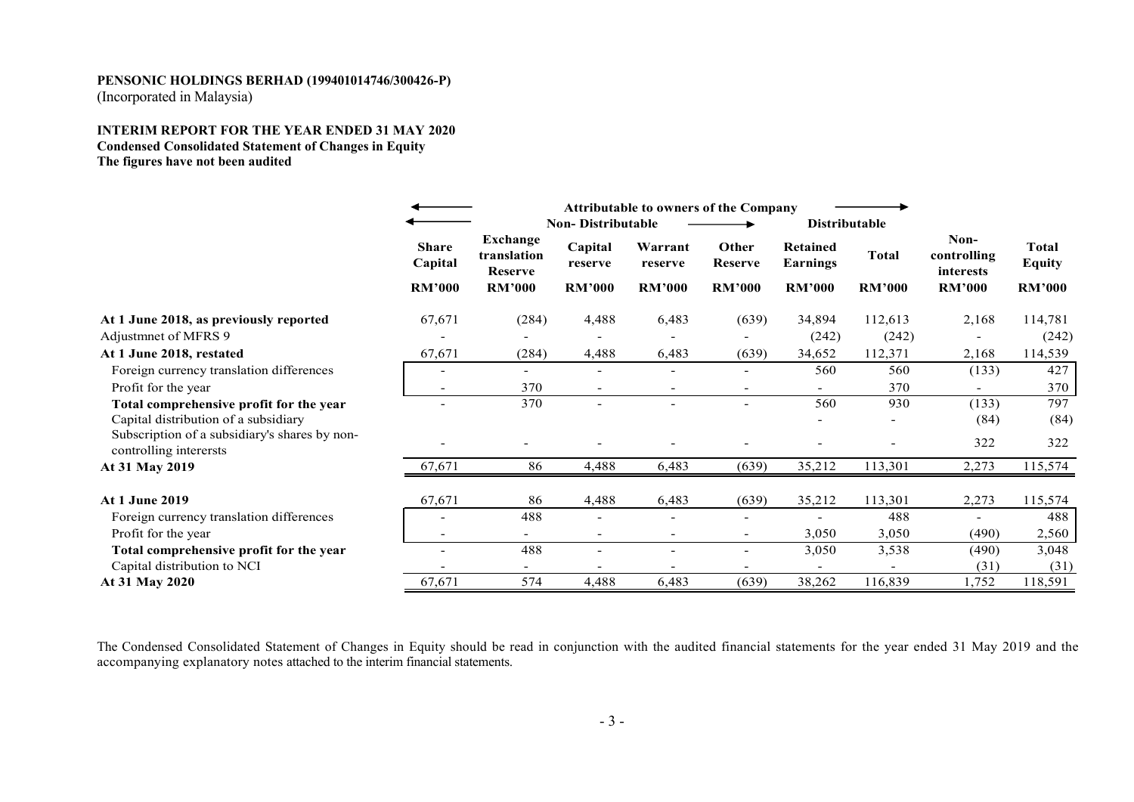(Incorporated in Malaysia)

### **INTERIM REPORT FOR THE YEAR ENDED 31 MAY 2020 Condensed Consolidated Statement of Changes in Equity The figures have not been audited**

|                                                                         |                         |                                                  | <b>Attributable to owners of the Company</b><br><b>Non-Distributable</b><br><b>Distributable</b> |                    |                         |                                    |               |                                  |                        |
|-------------------------------------------------------------------------|-------------------------|--------------------------------------------------|--------------------------------------------------------------------------------------------------|--------------------|-------------------------|------------------------------------|---------------|----------------------------------|------------------------|
|                                                                         | <b>Share</b><br>Capital | <b>Exchange</b><br>translation<br><b>Reserve</b> | Capital<br>reserve                                                                               | Warrant<br>reserve | Other<br><b>Reserve</b> | <b>Retained</b><br><b>Earnings</b> | <b>Total</b>  | Non-<br>controlling<br>interests | Total<br><b>Equity</b> |
|                                                                         | <b>RM'000</b>           | <b>RM'000</b>                                    | <b>RM'000</b>                                                                                    | <b>RM'000</b>      | <b>RM'000</b>           | <b>RM'000</b>                      | <b>RM'000</b> | <b>RM'000</b>                    | <b>RM'000</b>          |
| At 1 June 2018, as previously reported                                  | 67,671                  | (284)                                            | 4,488                                                                                            | 6,483              | (639)                   | 34,894                             | 112,613       | 2,168                            | 114,781                |
| Adjustment of MFRS 9                                                    |                         |                                                  | $\overline{\phantom{a}}$                                                                         |                    |                         | (242)                              | (242)         |                                  | (242)                  |
| At 1 June 2018, restated                                                | 67,671                  | (284)                                            | 4,488                                                                                            | 6,483              | (639)                   | 34,652                             | 112,371       | 2,168                            | 114,539                |
| Foreign currency translation differences                                |                         |                                                  | $\overline{\phantom{a}}$                                                                         |                    |                         | 560                                | 560           | (133)                            | 427                    |
| Profit for the year                                                     |                         | 370                                              | $\overline{\phantom{a}}$                                                                         |                    |                         |                                    | 370           |                                  | 370                    |
| Total comprehensive profit for the year                                 | ٠                       | 370                                              | $\overline{\phantom{a}}$                                                                         |                    |                         | 560                                | 930           | (133)                            | 797                    |
| Capital distribution of a subsidiary                                    |                         |                                                  |                                                                                                  |                    |                         |                                    |               | (84)                             | (84)                   |
| Subscription of a subsidiary's shares by non-<br>controlling interersts |                         |                                                  |                                                                                                  |                    |                         |                                    |               | 322                              | 322                    |
| At 31 May 2019                                                          | 67,671                  | 86                                               | 4,488                                                                                            | 6,483              | (639)                   | 35,212                             | 113,301       | 2,273                            | 115,574                |
| <b>At 1 June 2019</b>                                                   | 67,671                  | 86                                               | 4,488                                                                                            | 6,483              | (639)                   | 35,212                             | 113,301       | 2,273                            | 115,574                |
| Foreign currency translation differences                                |                         | 488                                              | $\sim$                                                                                           |                    |                         |                                    | 488           |                                  | 488                    |
| Profit for the year                                                     |                         | $\sim$                                           | $\overline{\phantom{a}}$                                                                         |                    |                         | 3,050                              | 3,050         | (490)                            | 2,560                  |
| Total comprehensive profit for the year                                 |                         | 488                                              | $\blacksquare$                                                                                   |                    |                         | 3,050                              | 3,538         | (490)                            | 3,048                  |
| Capital distribution to NCI                                             |                         |                                                  |                                                                                                  |                    |                         |                                    |               | (31)                             | (31)                   |
| At 31 May 2020                                                          | 67,671                  | 574                                              | 4,488                                                                                            | 6,483              | (639)                   | 38,262                             | 116,839       | 1,752                            | 118,591                |

The Condensed Consolidated Statement of Changes in Equity should be read in conjunction with the audited financial statements for the year ended 31 May 2019 and the accompanying explanatory notes attached to the interim fi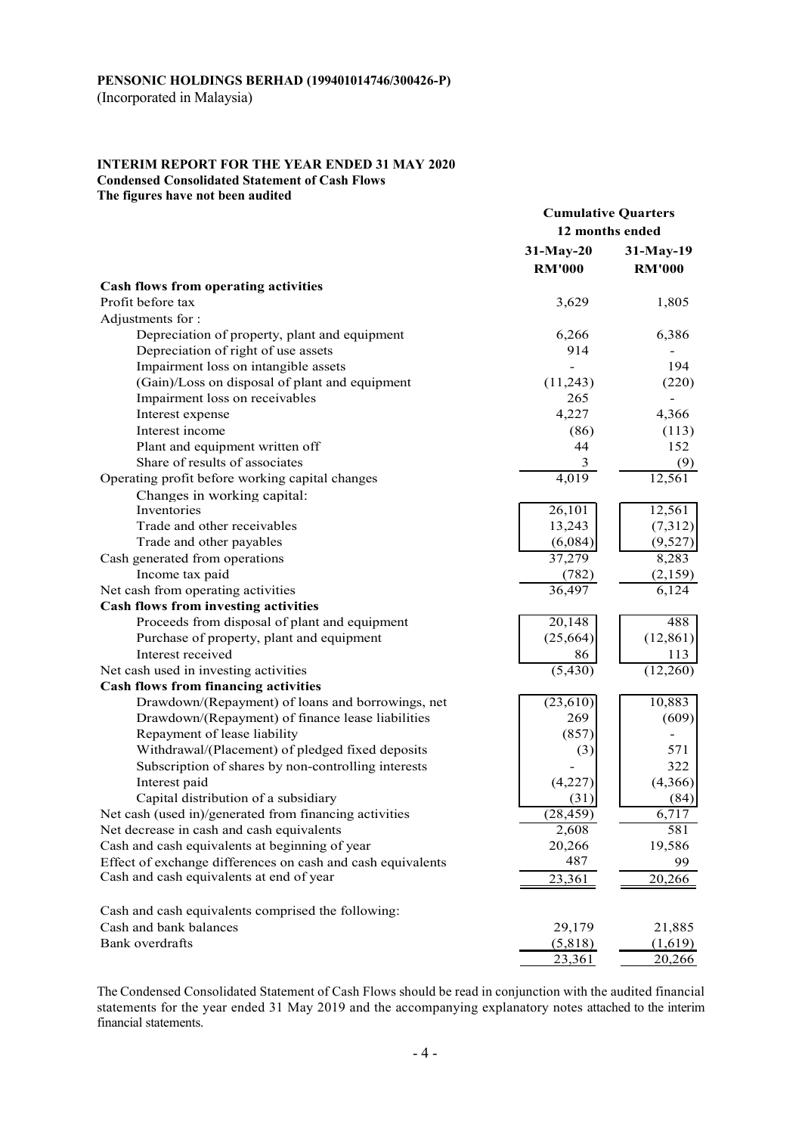(Incorporated in Malaysia)

#### **INTERIM REPORT FOR THE YEAR ENDED 31 MAY 2020 Condensed Consolidated Statement of Cash Flows**

**The figures have not been audited** 

|                                                                | <b>Cumulative Quarters</b> |                  |  |
|----------------------------------------------------------------|----------------------------|------------------|--|
|                                                                |                            | 12 months ended  |  |
|                                                                | $31-May-20$                | $31-May-19$      |  |
|                                                                | <b>RM'000</b>              | <b>RM'000</b>    |  |
| <b>Cash flows from operating activities</b>                    |                            |                  |  |
| Profit before tax                                              | 3,629                      | 1,805            |  |
| Adjustments for:                                               |                            |                  |  |
| Depreciation of property, plant and equipment                  | 6,266                      | 6,386            |  |
| Depreciation of right of use assets                            | 914                        |                  |  |
| Impairment loss on intangible assets                           |                            | 194              |  |
| (Gain)/Loss on disposal of plant and equipment                 | (11,243)                   | (220)            |  |
| Impairment loss on receivables                                 | 265                        |                  |  |
| Interest expense                                               | 4,227                      | 4,366            |  |
| Interest income                                                | (86)                       | (113)            |  |
| Plant and equipment written off                                | 44                         | 152              |  |
| Share of results of associates                                 | $\overline{3}$             | (9)              |  |
| Operating profit before working capital changes                | 4,019                      | 12,561           |  |
| Changes in working capital:                                    |                            |                  |  |
| Inventories                                                    | 26,101                     | 12,561           |  |
| Trade and other receivables                                    | 13,243                     | (7,312)          |  |
| Trade and other payables                                       | (6,084)                    | (9,527)          |  |
| Cash generated from operations                                 | 37,279                     | 8,283            |  |
| Income tax paid                                                | (782)                      | (2,159)          |  |
| Net cash from operating activities                             | 36,497                     | 6,124            |  |
| <b>Cash flows from investing activities</b>                    |                            |                  |  |
| Proceeds from disposal of plant and equipment                  | 20,148                     | 488              |  |
| Purchase of property, plant and equipment<br>Interest received | (25, 664)<br>86            | (12, 861)<br>113 |  |
| Net cash used in investing activities                          | (5, 430)                   | (12,260)         |  |
| <b>Cash flows from financing activities</b>                    |                            |                  |  |
| Drawdown/(Repayment) of loans and borrowings, net              | (23,610)                   | 10,883           |  |
| Drawdown/(Repayment) of finance lease liabilities              | 269                        | (609)            |  |
| Repayment of lease liability                                   | (857)                      |                  |  |
| Withdrawal/(Placement) of pledged fixed deposits               | (3)                        | 571              |  |
| Subscription of shares by non-controlling interests            |                            | 322              |  |
| Interest paid                                                  | (4,227)                    | (4,366)          |  |
| Capital distribution of a subsidiary                           | (31)                       | (84)             |  |
| Net cash (used in)/generated from financing activities         | (28, 459)                  | 6,717            |  |
| Net decrease in cash and cash equivalents                      | 2,608                      | 581              |  |
| Cash and cash equivalents at beginning of year                 | 20,266                     | 19,586           |  |
| Effect of exchange differences on cash and cash equivalents    | 487                        | 99               |  |
| Cash and cash equivalents at end of year                       | 23,361                     | 20,266           |  |
| Cash and cash equivalents comprised the following:             |                            |                  |  |
| Cash and bank balances                                         | 29,179                     | 21,885           |  |
| Bank overdrafts                                                | (5,818)                    | (1,619)          |  |
|                                                                | 23,361                     | 20,266           |  |

The Condensed Consolidated Statement of Cash Flows should be read in conjunction with the audited financial statements for the year ended 31 May 2019 and the accompanying explanatory notes attached to the interim financial statements.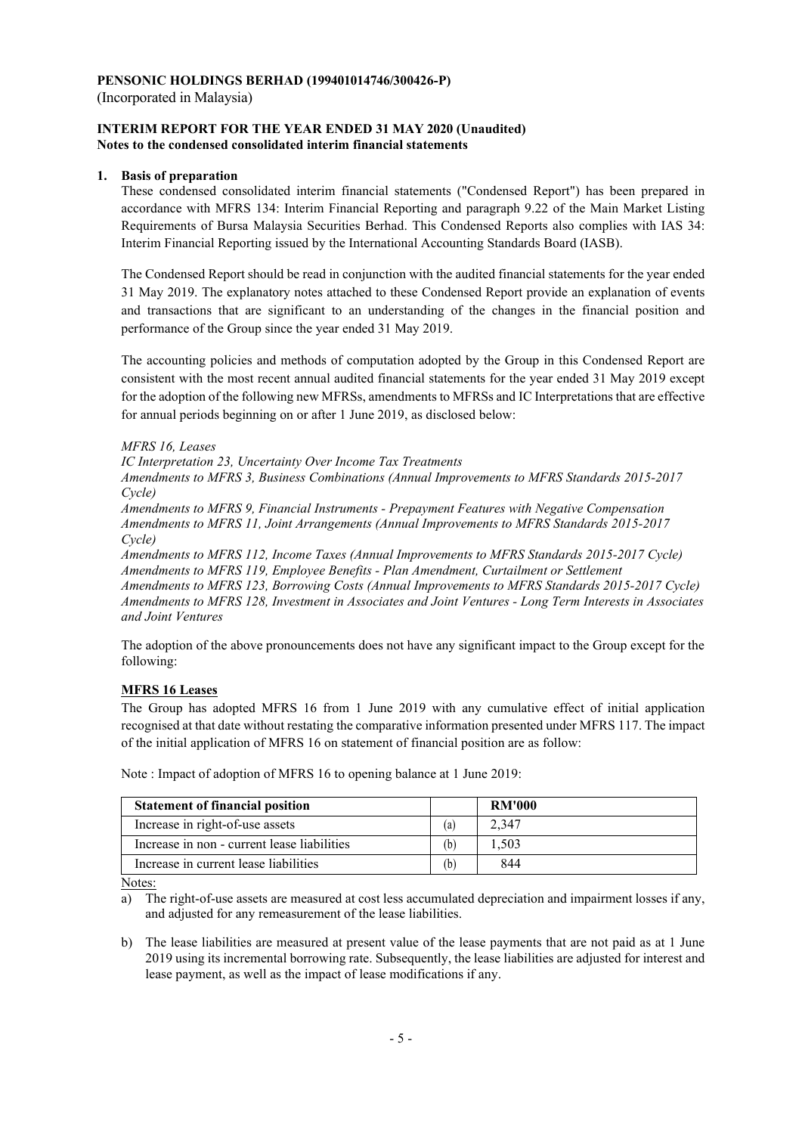(Incorporated in Malaysia)

#### **INTERIM REPORT FOR THE YEAR ENDED 31 MAY 2020 (Unaudited) Notes to the condensed consolidated interim financial statements**

## **1. Basis of preparation**

These condensed consolidated interim financial statements ("Condensed Report") has been prepared in accordance with MFRS 134: Interim Financial Reporting and paragraph 9.22 of the Main Market Listing Requirements of Bursa Malaysia Securities Berhad. This Condensed Reports also complies with IAS 34: Interim Financial Reporting issued by the International Accounting Standards Board (IASB).

The Condensed Report should be read in conjunction with the audited financial statements for the year ended 31 May 2019. The explanatory notes attached to these Condensed Report provide an explanation of events and transactions that are significant to an understanding of the changes in the financial position and performance of the Group since the year ended 31 May 2019.

The accounting policies and methods of computation adopted by the Group in this Condensed Report are consistent with the most recent annual audited financial statements for the year ended 31 May 2019 except for the adoption of the following new MFRSs, amendments to MFRSs and IC Interpretations that are effective for annual periods beginning on or after 1 June 2019, as disclosed below:

## *MFRS 16, Leases*

*IC Interpretation 23, Uncertainty Over Income Tax Treatments* 

*Amendments to MFRS 3, Business Combinations (Annual Improvements to MFRS Standards 2015-2017 Cycle)* 

*Amendments to MFRS 9, Financial Instruments - Prepayment Features with Negative Compensation Amendments to MFRS 11, Joint Arrangements (Annual Improvements to MFRS Standards 2015-2017 Cycle)* 

*Amendments to MFRS 112, Income Taxes (Annual Improvements to MFRS Standards 2015-2017 Cycle) Amendments to MFRS 119, Employee Benefits - Plan Amendment, Curtailment or Settlement Amendments to MFRS 123, Borrowing Costs (Annual Improvements to MFRS Standards 2015-2017 Cycle) Amendments to MFRS 128, Investment in Associates and Joint Ventures - Long Term Interests in Associates and Joint Ventures* 

The adoption of the above pronouncements does not have any significant impact to the Group except for the following:

## **MFRS 16 Leases**

The Group has adopted MFRS 16 from 1 June 2019 with any cumulative effect of initial application recognised at that date without restating the comparative information presented under MFRS 117. The impact of the initial application of MFRS 16 on statement of financial position are as follow:

| <b>Statement of financial position</b>      |                   | <b>RM'000</b> |
|---------------------------------------------|-------------------|---------------|
| Increase in right-of-use assets             | $\left( a\right)$ | 2.347         |
| Increase in non - current lease liabilities | (b)               | 1.503         |
| Increase in current lease liabilities       | (b)               | 844           |

Note : Impact of adoption of MFRS 16 to opening balance at 1 June 2019:

Notes:

a) The right-of-use assets are measured at cost less accumulated depreciation and impairment losses if any, and adjusted for any remeasurement of the lease liabilities.

b) The lease liabilities are measured at present value of the lease payments that are not paid as at 1 June 2019 using its incremental borrowing rate. Subsequently, the lease liabilities are adjusted for interest and lease payment, as well as the impact of lease modifications if any.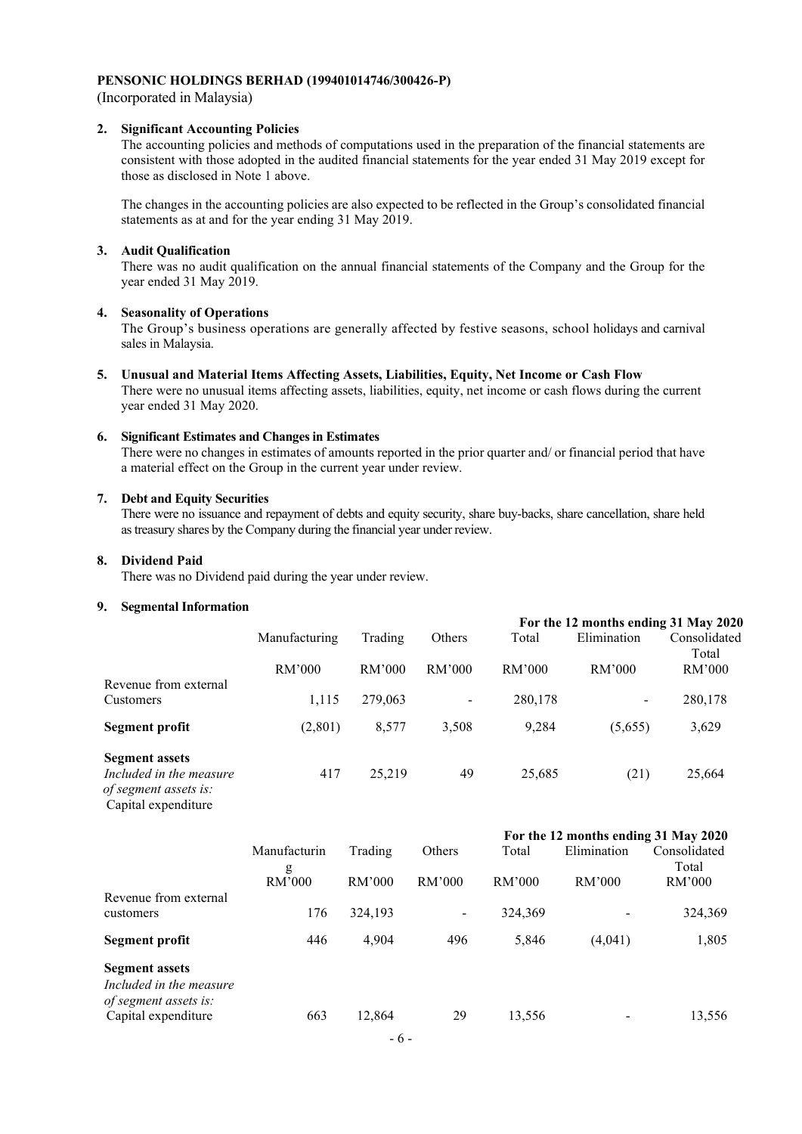(Incorporated in Malaysia)

#### **2. Significant Accounting Policies**

The accounting policies and methods of computations used in the preparation of the financial statements are consistent with those adopted in the audited financial statements for the year ended 31 May 2019 except for those as disclosed in Note 1 above.

The changes in the accounting policies are also expected to be reflected in the Group's consolidated financial statements as at and for the year ending 31 May 2019.

#### **3. Audit Qualification**

 There was no audit qualification on the annual financial statements of the Company and the Group for the year ended 31 May 2019.

#### **4. Seasonality of Operations**

 The Group's business operations are generally affected by festive seasons, school holidays and carnival sales in Malaysia.

## **5. Unusual and Material Items Affecting Assets, Liabilities, Equity, Net Income or Cash Flow**

There were no unusual items affecting assets, liabilities, equity, net income or cash flows during the current year ended 31 May 2020.

## **6. Significant Estimates and Changes in Estimates**

There were no changes in estimates of amounts reported in the prior quarter and/ or financial period that have a material effect on the Group in the current year under review.

#### **7. Debt and Equity Securities**

There were no issuance and repayment of debts and equity security, share buy-backs, share cancellation, share held as treasury shares by the Company during the financial year under review.

#### **8. Dividend Paid**

There was no Dividend paid during the year under review.

#### **9. Segmental Information**

|                                                                                                  |               |         |                |         | For the 12 months ending 31 May 2020                    |                       |
|--------------------------------------------------------------------------------------------------|---------------|---------|----------------|---------|---------------------------------------------------------|-----------------------|
|                                                                                                  | Manufacturing | Trading | Others         | Total   | Elimination                                             | Consolidated<br>Total |
|                                                                                                  | RM'000        | RM'000  | RM'000         | RM'000  | RM'000                                                  | RM'000                |
| Revenue from external<br>Customers                                                               | 1,115         | 279,063 | $\blacksquare$ | 280,178 | $\blacksquare$                                          | 280,178               |
| Segment profit                                                                                   | (2,801)       | 8,577   | 3,508          | 9,284   | (5,655)                                                 | 3,629                 |
| <b>Segment assets</b><br>Included in the measure<br>of segment assets is:<br>Capital expenditure | 417           | 25,219  | 49             | 25,685  | (21)                                                    | 25,664                |
|                                                                                                  |               |         |                |         | $E_{\text{ext}}$ the 12 metallic and $\ln 2$ Metal 2020 |                       |

| Manufacturin | Trading | Others         | Total   | Elimination | Consolidated                         |
|--------------|---------|----------------|---------|-------------|--------------------------------------|
| g<br>RM'000  | RM'000  | RM'000         | RM'000  | RM'000      | Total<br>RM'000                      |
| 176          | 324,193 | $\blacksquare$ | 324,369 |             | 324,369                              |
| 446          | 4,904   | 496            | 5,846   | (4,041)     | 1,805                                |
| 663          | 12,864  | 29             | 13,556  |             | 13,556                               |
|              |         |                |         |             | For the 12 months ending 51 may 2020 |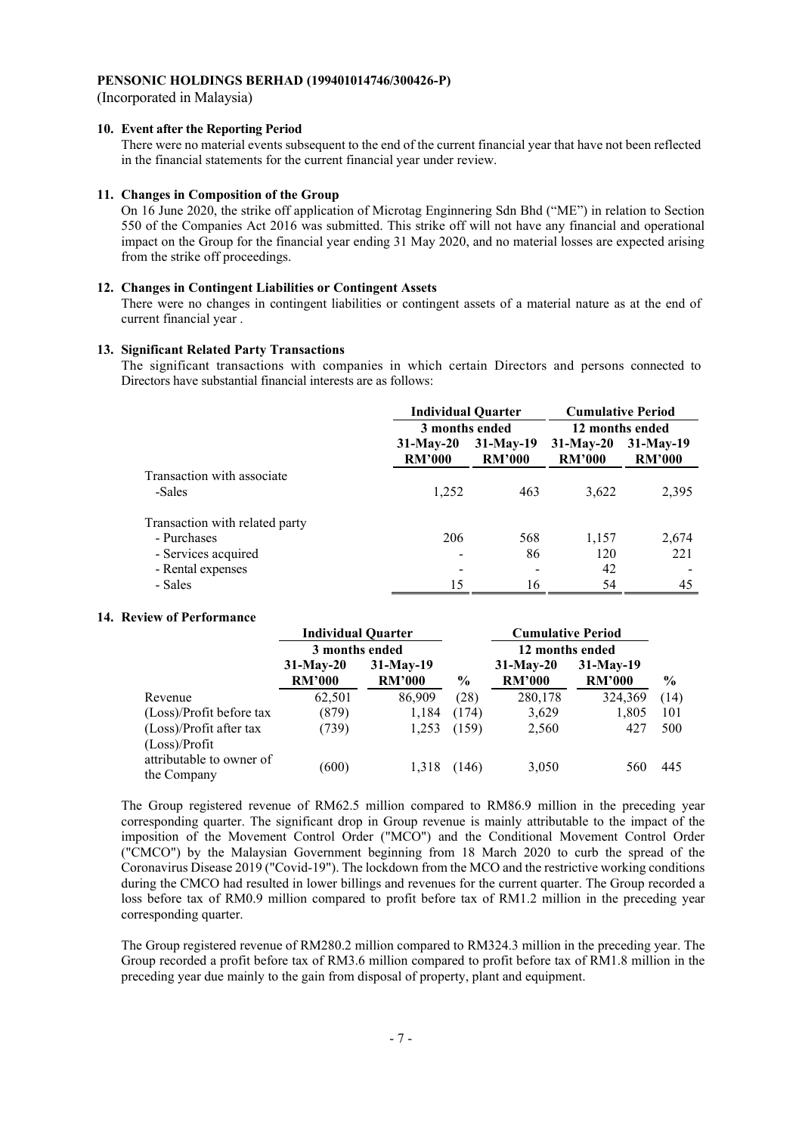(Incorporated in Malaysia)

#### **10. Event after the Reporting Period**

There were no material events subsequent to the end of the current financial year that have not been reflected in the financial statements for the current financial year under review.

#### **11. Changes in Composition of the Group**

On 16 June 2020, the strike off application of Microtag Enginnering Sdn Bhd ("ME") in relation to Section 550 of the Companies Act 2016 was submitted. This strike off will not have any financial and operational impact on the Group for the financial year ending 31 May 2020, and no material losses are expected arising from the strike off proceedings.

## **12. Changes in Contingent Liabilities or Contingent Assets**

There were no changes in contingent liabilities or contingent assets of a material nature as at the end of current financial year .

#### **13. Significant Related Party Transactions**

 The significant transactions with companies in which certain Directors and persons connected to Directors have substantial financial interests are as follows:

|                                | <b>Individual Quarter</b>                                    |     | <b>Cumulative Period</b><br>12 months ended |                              |  |
|--------------------------------|--------------------------------------------------------------|-----|---------------------------------------------|------------------------------|--|
|                                | 3 months ended                                               |     |                                             |                              |  |
|                                | $31-Mav-19$<br>$31-May-20$<br><b>RM'000</b><br><b>RM'000</b> |     | $31-May-20$<br><b>RM'000</b>                | $31-May-19$<br><b>RM'000</b> |  |
| Transaction with associate     |                                                              |     |                                             |                              |  |
| -Sales                         | 1,252                                                        | 463 | 3,622                                       | 2,395                        |  |
| Transaction with related party |                                                              |     |                                             |                              |  |
| - Purchases                    | 206                                                          | 568 | 1,157                                       | 2,674                        |  |
| - Services acquired            |                                                              | 86  | 120                                         | 221                          |  |
| - Rental expenses              |                                                              |     | 42                                          |                              |  |
| - Sales                        | 15                                                           | 16  | 54                                          | 45                           |  |

#### **14. Review of Performance**

|                                          | <b>Individual Quarter</b>    |                              |               | <b>Cumulative Period</b>     |                              |               |
|------------------------------------------|------------------------------|------------------------------|---------------|------------------------------|------------------------------|---------------|
|                                          | 3 months ended               |                              |               | 12 months ended              |                              |               |
|                                          | $31-Mav-20$<br><b>RM'000</b> | $31-May-19$<br><b>RM'000</b> | $\frac{0}{0}$ | $31-May-20$<br><b>RM'000</b> | $31-Mav-19$<br><b>RM'000</b> | $\frac{0}{0}$ |
| Revenue                                  | 62,501                       | 86,909                       | (28)          | 280,178                      | 324,369                      | (14)          |
| (Loss)/Profit before tax                 | (879)                        | 1,184                        | (174)         | 3.629                        | 1,805                        | 101           |
| (Loss)/Profit after tax<br>(Loss)/Profit | (739)                        | 1,253                        | (159)         | 2,560                        | 427                          | 500           |
| attributable to owner of<br>the Company  | (600)                        | 1,318                        | (146)         | 3,050                        | 560                          | 445           |

The Group registered revenue of RM62.5 million compared to RM86.9 million in the preceding year corresponding quarter. The significant drop in Group revenue is mainly attributable to the impact of the imposition of the Movement Control Order ("MCO") and the Conditional Movement Control Order ("CMCO") by the Malaysian Government beginning from 18 March 2020 to curb the spread of the Coronavirus Disease 2019 ("Covid-19"). The lockdown from the MCO and the restrictive working conditions during the CMCO had resulted in lower billings and revenues for the current quarter. The Group recorded a loss before tax of RM0.9 million compared to profit before tax of RM1.2 million in the preceding year corresponding quarter.

The Group registered revenue of RM280.2 million compared to RM324.3 million in the preceding year. The Group recorded a profit before tax of RM3.6 million compared to profit before tax of RM1.8 million in the preceding year due mainly to the gain from disposal of property, plant and equipment.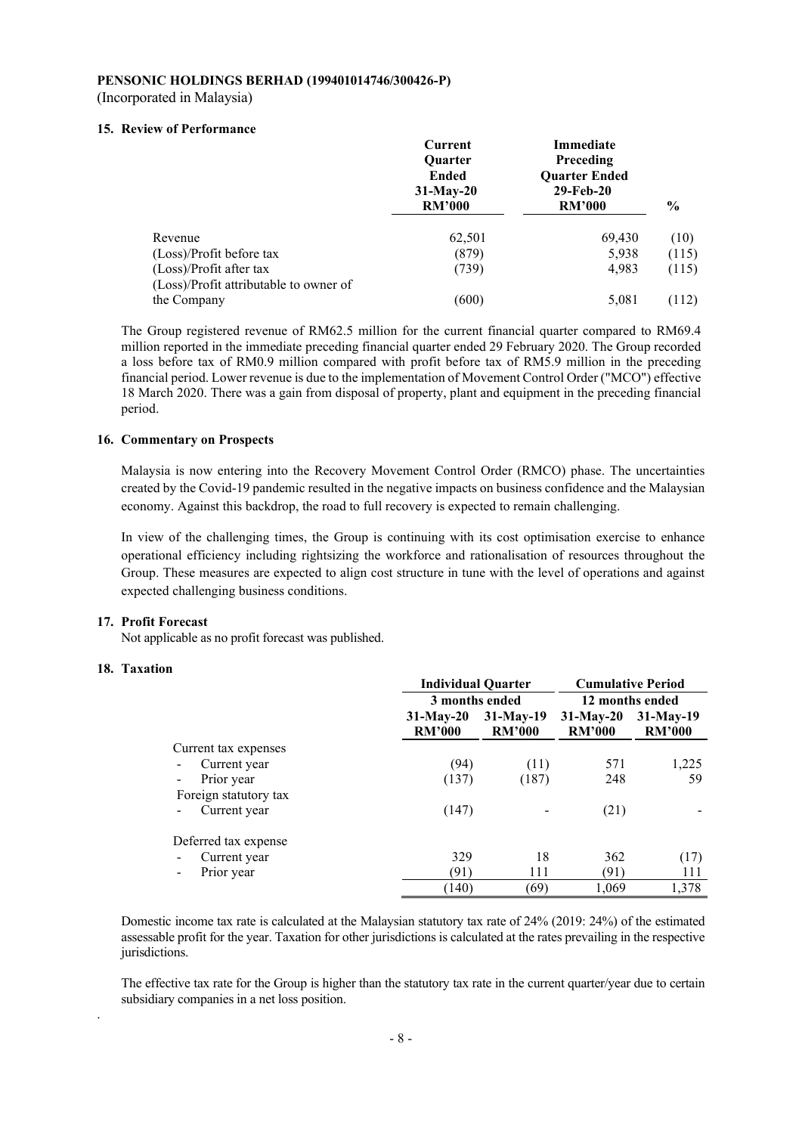#### **PENSONIC HOLDINGS BERHAD (199401014746/300426-P)**  (Incorporated in Malaysia)

## **15. Review of Performance**

|                                        | Current<br><b>Ouarter</b><br>Ended<br>$31-May-20$<br><b>RM'000</b> | Immediate<br>Preceding<br><b>Ouarter Ended</b><br>29-Feb-20<br><b>RM'000</b> | $\frac{6}{9}$ |
|----------------------------------------|--------------------------------------------------------------------|------------------------------------------------------------------------------|---------------|
| Revenue                                | 62,501                                                             | 69,430                                                                       | (10)          |
| (Loss)/Profit before tax               | (879)                                                              | 5,938                                                                        | (115)         |
| (Loss)/Profit after tax                | (739)                                                              | 4,983                                                                        | (115)         |
| (Loss)/Profit attributable to owner of |                                                                    |                                                                              |               |
| the Company                            | (600)                                                              | 5,081                                                                        | (112)         |

The Group registered revenue of RM62.5 million for the current financial quarter compared to RM69.4 million reported in the immediate preceding financial quarter ended 29 February 2020. The Group recorded a loss before tax of RM0.9 million compared with profit before tax of RM5.9 million in the preceding financial period. Lower revenue is due to the implementation of Movement Control Order ("MCO") effective 18 March 2020. There was a gain from disposal of property, plant and equipment in the preceding financial period.

### **16. Commentary on Prospects**

Malaysia is now entering into the Recovery Movement Control Order (RMCO) phase. The uncertainties created by the Covid-19 pandemic resulted in the negative impacts on business confidence and the Malaysian economy. Against this backdrop, the road to full recovery is expected to remain challenging.

In view of the challenging times, the Group is continuing with its cost optimisation exercise to enhance operational efficiency including rightsizing the workforce and rationalisation of resources throughout the Group. These measures are expected to align cost structure in tune with the level of operations and against expected challenging business conditions.

#### **17. Profit Forecast**

Not applicable as no profit forecast was published.

#### **18. Taxation**

.

|                       | <b>Individual Quarter</b>     | <b>Cumulative Period</b>     |                              |                              |  |
|-----------------------|-------------------------------|------------------------------|------------------------------|------------------------------|--|
|                       | 3 months ended                |                              | 12 months ended              |                              |  |
|                       | $31$ -May-20<br><b>RM'000</b> | $31-Mav-19$<br><b>RM'000</b> | $31-May-20$<br><b>RM'000</b> | $31-May-19$<br><b>RM'000</b> |  |
| Current tax expenses  |                               |                              |                              |                              |  |
| Current year          | (94)                          | (11)                         | 571                          | 1,225                        |  |
| Prior year            | (137)                         | (187)                        | 248                          | 59                           |  |
| Foreign statutory tax |                               |                              |                              |                              |  |
| Current year          | (147)                         |                              | (21)                         |                              |  |
| Deferred tax expense  |                               |                              |                              |                              |  |
| Current year          | 329                           | 18                           | 362                          | (17)                         |  |
| Prior year            | (91)                          | 111                          | (91)                         | 111                          |  |
|                       | (140)                         | (69)                         | 1,069                        | 1,378                        |  |

Domestic income tax rate is calculated at the Malaysian statutory tax rate of 24% (2019: 24%) of the estimated assessable profit for the year. Taxation for other jurisdictions is calculated at the rates prevailing in the respective jurisdictions.

The effective tax rate for the Group is higher than the statutory tax rate in the current quarter/year due to certain subsidiary companies in a net loss position.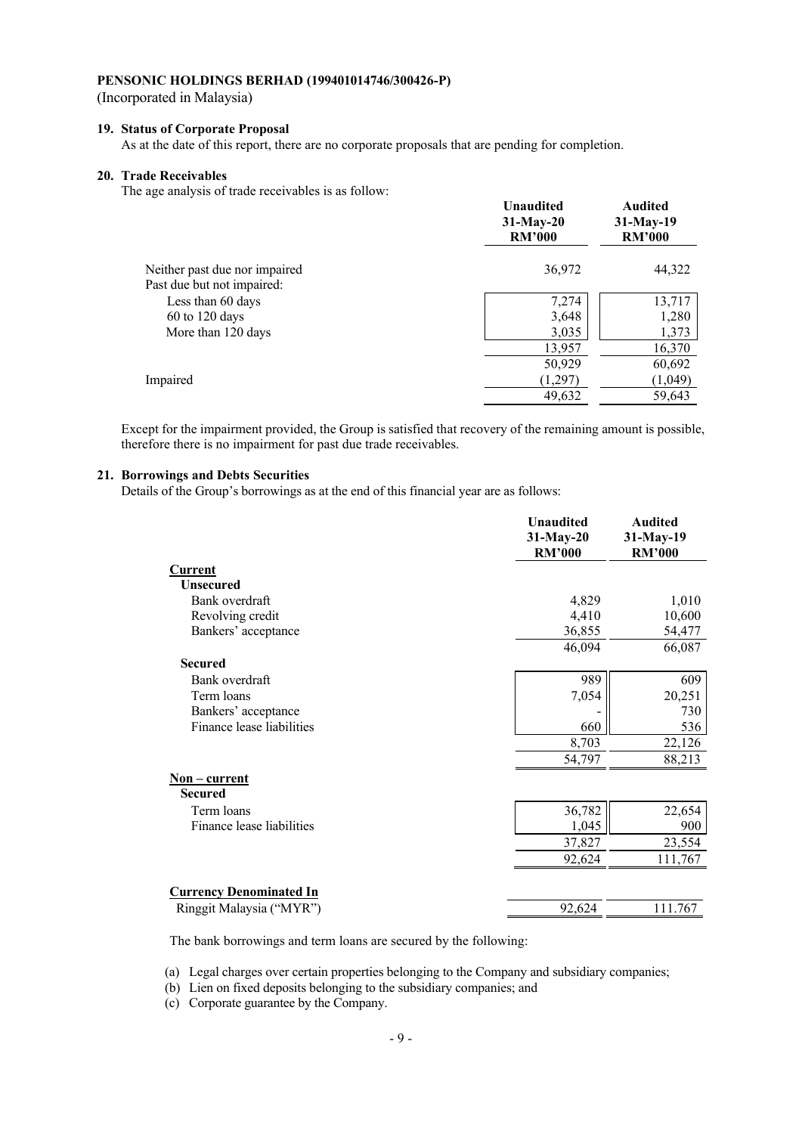(Incorporated in Malaysia)

## **19. Status of Corporate Proposal**

As at the date of this report, there are no corporate proposals that are pending for completion.

#### **20. Trade Receivables**

The age analysis of trade receivables is as follow:

|                               | <b>Unaudited</b><br>$31-May-20$<br><b>RM'000</b> | <b>Audited</b><br>$31-May-19$<br><b>RM'000</b> |
|-------------------------------|--------------------------------------------------|------------------------------------------------|
| Neither past due nor impaired | 36,972                                           | 44,322                                         |
| Past due but not impaired:    |                                                  |                                                |
| Less than 60 days             | 7,274                                            | 13,717                                         |
| $60$ to 120 days              | 3,648                                            | 1,280                                          |
| More than 120 days            | 3,035                                            | 1,373                                          |
|                               | 13,957                                           | 16,370                                         |
|                               | 50,929                                           | 60,692                                         |
| Impaired                      | (1,297)                                          | (1,049)                                        |
|                               | 49,632                                           | 59,643                                         |
|                               |                                                  |                                                |

Except for the impairment provided, the Group is satisfied that recovery of the remaining amount is possible, therefore there is no impairment for past due trade receivables.

#### **21. Borrowings and Debts Securities**

Details of the Group's borrowings as at the end of this financial year are as follows:

|                                | <b>Unaudited</b><br>$31-May-20$<br><b>RM'000</b> | <b>Audited</b><br>31-May-19<br><b>RM'000</b> |
|--------------------------------|--------------------------------------------------|----------------------------------------------|
| Current                        |                                                  |                                              |
| <b>Unsecured</b>               |                                                  |                                              |
| Bank overdraft                 | 4,829                                            | 1,010                                        |
| Revolving credit               | 4,410                                            | 10,600                                       |
| Bankers' acceptance            | 36,855                                           | 54,477                                       |
|                                | 46,094                                           | 66,087                                       |
| <b>Secured</b>                 |                                                  |                                              |
| Bank overdraft                 | 989                                              | 609                                          |
| Term loans                     | 7,054                                            | 20,251                                       |
| Bankers' acceptance            |                                                  | 730                                          |
| Finance lease liabilities      | 660                                              | 536                                          |
|                                | 8,703                                            | 22,126                                       |
|                                | 54,797                                           | 88,213                                       |
| $Non-current$                  |                                                  |                                              |
| <b>Secured</b>                 |                                                  |                                              |
| Term loans                     | 36,782                                           | 22,654                                       |
| Finance lease liabilities      | 1,045                                            | 900                                          |
|                                | 37,827                                           | 23,554                                       |
|                                | 92,624                                           | 111,767                                      |
| <b>Currency Denominated In</b> |                                                  |                                              |
| Ringgit Malaysia ("MYR")       | 92,624                                           | 111.767                                      |
|                                |                                                  |                                              |

The bank borrowings and term loans are secured by the following:

(a) Legal charges over certain properties belonging to the Company and subsidiary companies;

(b) Lien on fixed deposits belonging to the subsidiary companies; and

(c) Corporate guarantee by the Company.